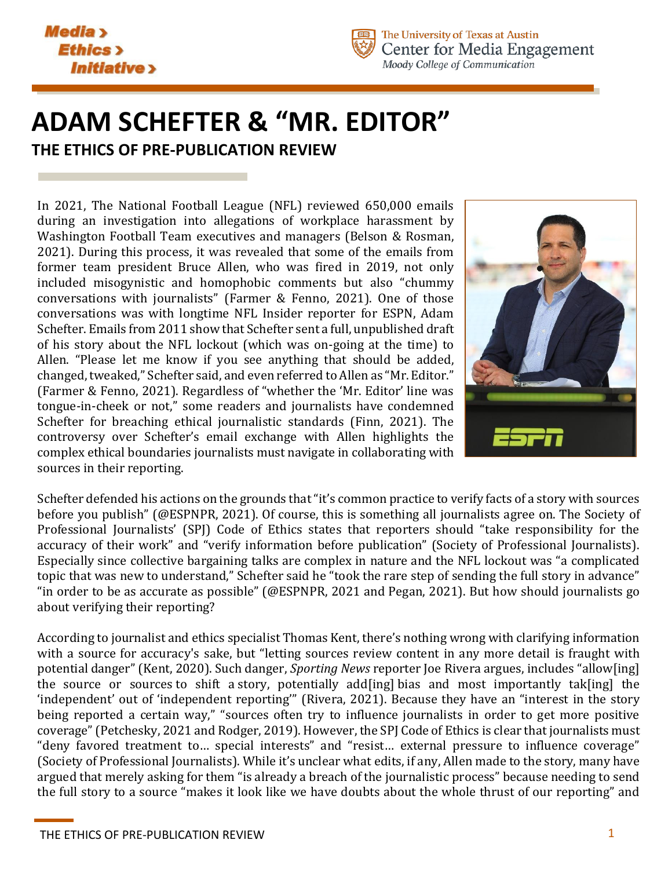



# **ADAM SCHEFTER & "MR. EDITOR" THE ETHICS OF PRE-PUBLICATION REVIEW**

In 2021, The National Football League (NFL) reviewed 650,000 emails during an investigation into allegations of workplace harassment by Washington Football Team executives and managers (Belson & Rosman, 2021). During this process, it was revealed that some of the emails from former team president Bruce Allen, who was fired in 2019, not only included misogynistic and homophobic comments but also "chummy conversations with journalists" (Farmer & Fenno, 2021). One of those conversations was with longtime NFL Insider reporter for ESPN, Adam Schefter. Emails from 2011 show that Schefter sent a full, unpublished draft of his story about the NFL lockout (which was on-going at the time) to Allen. "Please let me know if you see anything that should be added, changed, tweaked," Schefter said, and even referred to Allen as "Mr. Editor." (Farmer & Fenno, 2021). Regardless of "whether the 'Mr. Editor' line was tongue-in-cheek or not," some readers and journalists have condemned Schefter for breaching ethical journalistic standards (Finn, 2021). The controversy over Schefter's email exchange with Allen highlights the complex ethical boundaries journalists must navigate in collaborating with sources in their reporting.



Schefter defended his actions on the grounds that "it's common practice to verify facts of a story with sources before you publish" (@ESPNPR, 2021). Of course, this is something all journalists agree on. The Society of Professional Journalists' (SPJ) Code of Ethics states that reporters should "take responsibility for the accuracy of their work" and "verify information before publication" (Society of Professional Journalists). Especially since collective bargaining talks are complex in nature and the NFL lockout was "a complicated topic that was new to understand," Schefter said he "took the rare step of sending the full story in advance" "in order to be as accurate as possible" (@ESPNPR, 2021 and Pegan, 2021). But how should journalists go about verifying their reporting?

According to journalist and ethics specialist Thomas Kent, there's nothing wrong with clarifying information with a source for accuracy's sake, but "letting sources review content in any more detail is fraught with potential danger" (Kent, 2020). Such danger, *Sporting News* reporter Joe Rivera argues, includes "allow[ing] the source or sources to shift a story, potentially add[ing] bias and most importantly tak[ing] the 'independent' out of 'independent reporting'" (Rivera, 2021). Because they have an "interest in the story being reported a certain way," "sources often try to influence journalists in order to get more positive coverage" (Petchesky, 2021 and Rodger, 2019). However, the SPJ Code of Ethics is clear that journalists must "deny favored treatment to… special interests" and "resist… external pressure to influence coverage" (Society of Professional Journalists). While it's unclear what edits, if any, Allen made to the story, many have argued that merely asking for them "is already a breach of the journalistic process" because needing to send the full story to a source "makes it look like we have doubts about the whole thrust of our reporting" and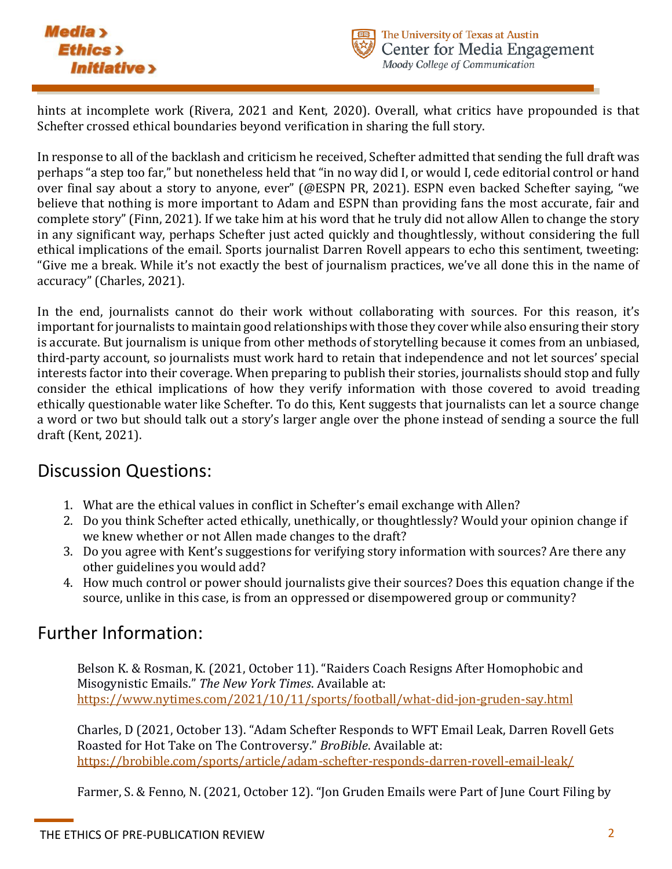#### **Media Ethics**> **Initiative >**



The University of Texas at Austin Center for Media Engagement Moody College of Communication

hints at incomplete work (Rivera, 2021 and Kent, 2020). Overall, what critics have propounded is that Schefter crossed ethical boundaries beyond verification in sharing the full story.

In response to all of the backlash and criticism he received, Schefter admitted that sending the full draft was perhaps "a step too far," but nonetheless held that "in no way did I, or would I, cede editorial control or hand over final say about a story to anyone, ever" (@ESPN PR, 2021). ESPN even backed Schefter saying, "we believe that nothing is more important to Adam and ESPN than providing fans the most accurate, fair and complete story" (Finn, 2021). If we take him at his word that he truly did not allow Allen to change the story in any significant way, perhaps Schefter just acted quickly and thoughtlessly, without considering the full ethical implications of the email. Sports journalist Darren Rovell appears to echo this sentiment, tweeting: "Give me a break. While it's not exactly the best of journalism practices, we've all done this in the name of accuracy" (Charles, 2021).

In the end, journalists cannot do their work without collaborating with sources. For this reason, it's important for journalists to maintain good relationships with those they cover while also ensuring their story is accurate. But journalism is unique from other methods of storytelling because it comes from an unbiased, third-party account, so journalists must work hard to retain that independence and not let sources' special interests factor into their coverage. When preparing to publish their stories, journalists should stop and fully consider the ethical implications of how they verify information with those covered to avoid treading ethically questionable water like Schefter. To do this, Kent suggests that journalists can let a source change a word or two but should talk out a story's larger angle over the phone instead of sending a source the full draft (Kent, 2021).

## Discussion Questions:

- 1. What are the ethical values in conflict in Schefter's email exchange with Allen?
- 2. Do you think Schefter acted ethically, unethically, or thoughtlessly? Would your opinion change if we knew whether or not Allen made changes to the draft?
- 3. Do you agree with Kent's suggestions for verifying story information with sources? Are there any other guidelines you would add?
- 4. How much control or power should journalists give their sources? Does this equation change if the source, unlike in this case, is from an oppressed or disempowered group or community?

## Further Information:

Belson K. & Rosman, K. (2021, October 11). "Raiders Coach Resigns After Homophobic and Misogynistic Emails." *The New York Times*. Available at: <https://www.nytimes.com/2021/10/11/sports/football/what-did-jon-gruden-say.html>

Charles, D (2021, October 13). "Adam Schefter Responds to WFT Email Leak, Darren Rovell Gets Roasted for Hot Take on The Controversy." *BroBible*. Available at: <https://brobible.com/sports/article/adam-schefter-responds-darren-rovell-email-leak/>

Farmer, S. & Fenno, N. (2021, October 12). "Jon Gruden Emails were Part of June Court Filing by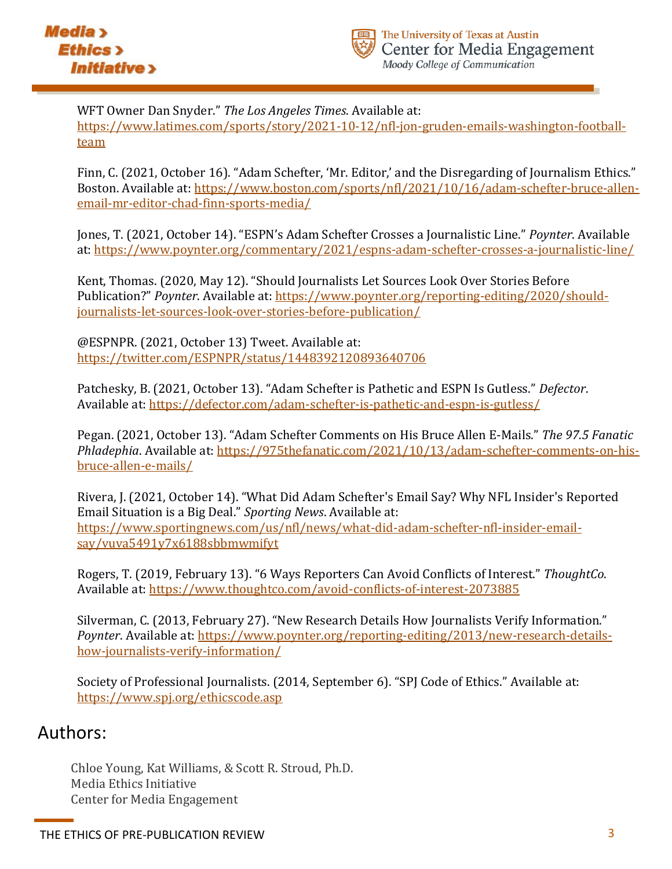

WFT Owner Dan Snyder." *The Los Angeles Times*. Available at: [https://www.latimes.com/sports/story/2021-10-12/nfl-jon-gruden-emails-washington-football](https://www.latimes.com/sports/story/2021-10-12/nfl-jon-gruden-emails-washington-football-team)[team](https://www.latimes.com/sports/story/2021-10-12/nfl-jon-gruden-emails-washington-football-team)

Finn, C. (2021, October 16). "Adam Schefter, 'Mr. Editor,' and the Disregarding of Journalism Ethics." Boston. Available at: [https://www.boston.com/sports/nfl/2021/10/16/adam-schefter-bruce-allen](https://www.boston.com/sports/nfl/2021/10/16/adam-schefter-bruce-allen-email-mr-editor-chad-finn-sports-media/)[email-mr-editor-chad-finn-sports-media/](https://www.boston.com/sports/nfl/2021/10/16/adam-schefter-bruce-allen-email-mr-editor-chad-finn-sports-media/)

Jones, T. (2021, October 14). "ESPN's Adam Schefter Crosses a Journalistic Line." *Poynter*. Available at:<https://www.poynter.org/commentary/2021/espns-adam-schefter-crosses-a-journalistic-line/>

Kent, Thomas. (2020, May 12). "Should Journalists Let Sources Look Over Stories Before Publication?" *Poynter*. Available at: [https://www.poynter.org/reporting-editing/2020/should](https://www.poynter.org/reporting-editing/2020/should-journalists-let-sources-look-over-stories-before-publication/)[journalists-let-sources-look-over-stories-before-publication/](https://www.poynter.org/reporting-editing/2020/should-journalists-let-sources-look-over-stories-before-publication/)

@ESPNPR. (2021, October 13) Tweet. Available at: <https://twitter.com/ESPNPR/status/1448392120893640706>

Patchesky, B. (2021, October 13). "Adam Schefter is Pathetic and ESPN Is Gutless." *Defector*. Available at:<https://defector.com/adam-schefter-is-pathetic-and-espn-is-gutless/>

Pegan. (2021, October 13). "Adam Schefter Comments on His Bruce Allen E-Mails." *The 97.5 Fanatic Phladephia*. Available at[: https://975thefanatic.com/2021/10/13/adam-schefter-comments-on-his](https://975thefanatic.com/2021/10/13/adam-schefter-comments-on-his-bruce-allen-e-mails/)[bruce-allen-e-mails/](https://975thefanatic.com/2021/10/13/adam-schefter-comments-on-his-bruce-allen-e-mails/) 

Rivera, J. (2021, October 14). "What Did Adam Schefter's Email Say? Why NFL Insider's Reported Email Situation is a Big Deal." *Sporting News*. Available at: [https://www.sportingnews.com/us/nfl/news/what-did-adam-schefter-nfl-insider-email](https://www.sportingnews.com/us/nfl/news/what-did-adam-schefter-nfl-insider-email-say/vuva5491y7x6188sbbmwmifyt)[say/vuva5491y7x6188sbbmwmifyt](https://www.sportingnews.com/us/nfl/news/what-did-adam-schefter-nfl-insider-email-say/vuva5491y7x6188sbbmwmifyt)

Rogers, T. (2019, February 13). "6 Ways Reporters Can Avoid Conflicts of Interest." *ThoughtCo*. Available at:<https://www.thoughtco.com/avoid-conflicts-of-interest-2073885>

Silverman, C. (2013, February 27). "New Research Details How Journalists Verify Information." *Poynter*. Available at: [https://www.poynter.org/reporting-editing/2013/new-research-details](https://www.poynter.org/reporting-editing/2013/new-research-details-how-journalists-verify-information/)[how-journalists-verify-information/](https://www.poynter.org/reporting-editing/2013/new-research-details-how-journalists-verify-information/)

Society of Professional Journalists. (2014, September 6). "SPJ Code of Ethics." Available at: <https://www.spj.org/ethicscode.asp>

### Authors:

Chloe Young, Kat Williams, & Scott R. Stroud, Ph.D. Media Ethics Initiative Center for Media Engagement

THE ETHICS OF PRE-PUBLICATION REVIEW 3